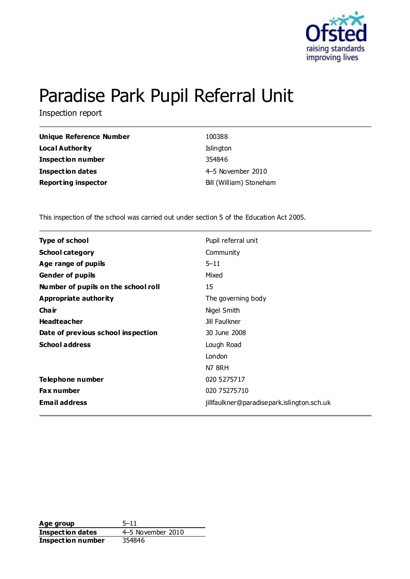

# Paradise Park Pupil Referral Unit

Inspection report

| <b>Unique Reference Number</b> | 100388                  |
|--------------------------------|-------------------------|
| <b>Local Authority</b>         | Islington               |
| <b>Inspection number</b>       | 354846                  |
| Inspection dates               | 4-5 November 2010       |
| <b>Reporting inspector</b>     | Bill (William) Stoneham |

This inspection of the school was carried out under section 5 of the Education Act 2005.

| Type of school                      | Pupil referral unit                        |
|-------------------------------------|--------------------------------------------|
| <b>School category</b>              | Community                                  |
| Age range of pupils                 | $5 - 11$                                   |
| <b>Gender of pupils</b>             | Mixed                                      |
| Number of pupils on the school roll | 15                                         |
| Appropriate authority               | The governing body                         |
| Cha ir                              | Nigel Smith                                |
| <b>Headteacher</b>                  | Jill Faulkner                              |
| Date of previous school inspection  | 30 June 2008                               |
| <b>School address</b>               | Lough Road                                 |
|                                     | London                                     |
|                                     | <b>N7 8RH</b>                              |
| Telephone number                    | 020 5275717                                |
| <b>Fax number</b>                   | 020 75275710                               |
| <b>Email address</b>                | jillfaulkner@paradisepark.islington.sch.uk |

**Age group** 5–11 **Inspection dates** 4–5 November 2010 **Inspection number** 354846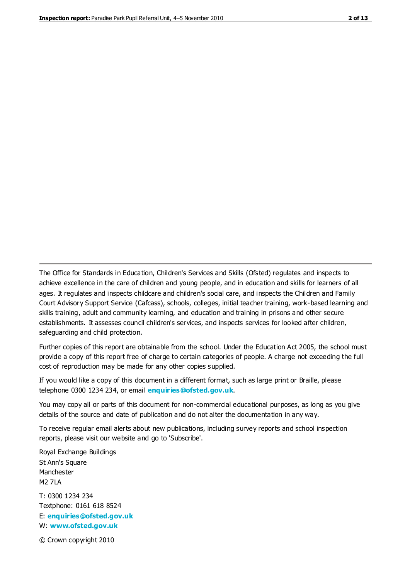The Office for Standards in Education, Children's Services and Skills (Ofsted) regulates and inspects to achieve excellence in the care of children and young people, and in education and skills for learners of all ages. It regulates and inspects childcare and children's social care, and inspects the Children and Family Court Advisory Support Service (Cafcass), schools, colleges, initial teacher training, work-based learning and skills training, adult and community learning, and education and training in prisons and other secure establishments. It assesses council children's services, and inspects services for looked after children, safeguarding and child protection.

Further copies of this report are obtainable from the school. Under the Education Act 2005, the school must provide a copy of this report free of charge to certain categories of people. A charge not exceeding the full cost of reproduction may be made for any other copies supplied.

If you would like a copy of this document in a different format, such as large print or Braille, please telephone 0300 1234 234, or email **[enquiries@ofsted.gov.uk](mailto:enquiries@ofsted.gov.uk)**.

You may copy all or parts of this document for non-commercial educational purposes, as long as you give details of the source and date of publication and do not alter the documentation in any way.

To receive regular email alerts about new publications, including survey reports and school inspection reports, please visit our website and go to 'Subscribe'.

Royal Exchange Buildings St Ann's Square Manchester M2 7LA T: 0300 1234 234 Textphone: 0161 618 8524 E: **[enquiries@ofsted.gov.uk](mailto:enquiries@ofsted.gov.uk)** W: **[www.ofsted.gov.uk](http://www.ofsted.gov.uk/)**

© Crown copyright 2010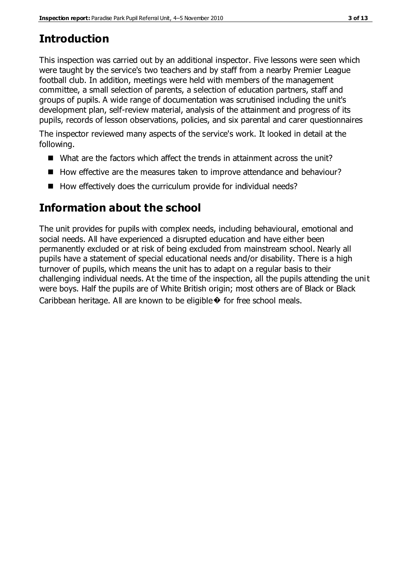# **Introduction**

This inspection was carried out by an additional inspector. Five lessons were seen which were taught by the service's two teachers and by staff from a nearby Premier League football club. In addition, meetings were held with members of the management committee, a small selection of parents, a selection of education partners, staff and groups of pupils. A wide range of documentation was scrutinised including the unit's development plan, self-review material, analysis of the attainment and progress of its pupils, records of lesson observations, policies, and six parental and carer questionnaires

The inspector reviewed many aspects of the service's work. It looked in detail at the following.

- What are the factors which affect the trends in attainment across the unit?
- How effective are the measures taken to improve attendance and behaviour?
- $\blacksquare$  How effectively does the curriculum provide for individual needs?

# **Information about the school**

The unit provides for pupils with complex needs, including behavioural, emotional and social needs. All have experienced a disrupted education and have either been permanently excluded or at risk of being excluded from mainstream school. Nearly all pupils have a statement of special educational needs and/or disability. There is a high turnover of pupils, which means the unit has to adapt on a regular basis to their challenging individual needs. At the time of the inspection, all the pupils attending the unit were boys. Half the pupils are of White British origin; most others are of Black or Black Caribbean heritage. All are known to be eligible  $\diamond$  for free school meals.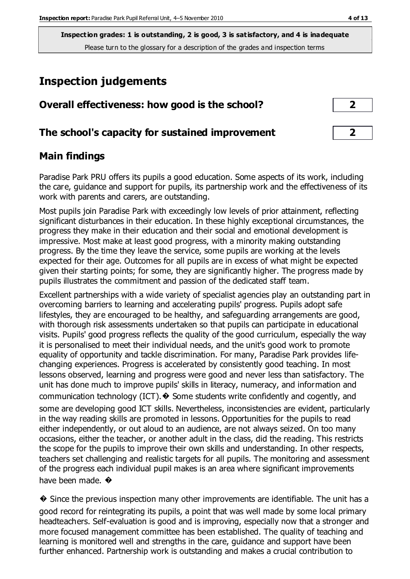**Inspection grades: 1 is outstanding, 2 is good, 3 is satisfactory, and 4 is inadequate** Please turn to the glossary for a description of the grades and inspection terms

# **Inspection judgements**

| Overall effectiveness: how good is the school? |  |  |  |
|------------------------------------------------|--|--|--|
|                                                |  |  |  |

#### **The school's capacity for sustained improvement 2**

### **Main findings**

Paradise Park PRU offers its pupils a good education. Some aspects of its work, including the care, guidance and support for pupils, its partnership work and the effectiveness of its work with parents and carers, are outstanding.

Most pupils join Paradise Park with exceedingly low levels of prior attainment, reflecting significant disturbances in their education. In these highly exceptional circumstances, the progress they make in their education and their social and emotional development is impressive. Most make at least good progress, with a minority making outstanding progress. By the time they leave the service, some pupils are working at the levels expected for their age. Outcomes for all pupils are in excess of what might be expected given their starting points; for some, they are significantly higher. The progress made by pupils illustrates the commitment and passion of the dedicated staff team.

Excellent partnerships with a wide variety of specialist agencies play an outstanding part in overcoming barriers to learning and accelerating pupils' progress. Pupils adopt safe lifestyles, they are encouraged to be healthy, and safeguarding arrangements are good, with thorough risk assessments undertaken so that pupils can participate in educational visits. Pupils' good progress reflects the quality of the good curriculum, especially the way it is personalised to meet their individual needs, and the unit's good work to promote equality of opportunity and tackle discrimination. For many, Paradise Park provides lifechanging experiences. Progress is accelerated by consistently good teaching. In most lessons observed, learning and progress were good and never less than satisfactory. The unit has done much to improve pupils' skills in literacy, numeracy, and information and communication technology (ICT).  $\blacklozenge$  Some students write confidently and cogently, and some are developing good ICT skills. Nevertheless, inconsistencies are evident, particularly in the way reading skills are promoted in lessons. Opportunities for the pupils to read either independently, or out aloud to an audience, are not always seized. On too many occasions, either the teacher, or another adult in the class, did the reading. This restricts the scope for the pupils to improve their own skills and understanding. In other respects, teachers set challenging and realistic targets for all pupils. The monitoring and assessment of the progress each individual pupil makes is an area where significant improvements have been made.  $\bullet$ 

� Since the previous inspection many other improvements are identifiable. The unit has a good record for reintegrating its pupils, a point that was well made by some local primary headteachers. Self-evaluation is good and is improving, especially now that a stronger and more focused management committee has been established. The quality of teaching and learning is monitored well and strengths in the care, guidance and support have been further enhanced. Partnership work is outstanding and makes a crucial contribution to

| 2 |
|---|
|   |
|   |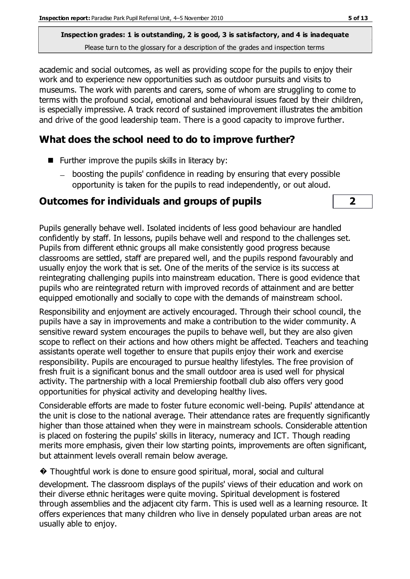**Inspection grades: 1 is outstanding, 2 is good, 3 is satisfactory, and 4 is inadequate** Please turn to the glossary for a description of the grades and inspection terms

academic and social outcomes, as well as providing scope for the pupils to enjoy their work and to experience new opportunities such as outdoor pursuits and visits to museums. The work with parents and carers, some of whom are struggling to come to terms with the profound social, emotional and behavioural issues faced by their children, is especially impressive. A track record of sustained improvement illustrates the ambition and drive of the good leadership team. There is a good capacity to improve further.

# **What does the school need to do to improve further?**

- $\blacksquare$  Further improve the pupils skills in literacy by:
	- boosting the pupils' confidence in reading by ensuring that every possible opportunity is taken for the pupils to read independently, or out aloud.

# **Outcomes for individuals and groups of pupils 2**



Pupils generally behave well. Isolated incidents of less good behaviour are handled confidently by staff. In lessons, pupils behave well and respond to the challenges set. Pupils from different ethnic groups all make consistently good progress because classrooms are settled, staff are prepared well, and the pupils respond favourably and usually enjoy the work that is set. One of the merits of the service is its success at reintegrating challenging pupils into mainstream education. There is good evidence that pupils who are reintegrated return with improved records of attainment and are better equipped emotionally and socially to cope with the demands of mainstream school.

Responsibility and enjoyment are actively encouraged. Through their school council, the pupils have a say in improvements and make a contribution to the wider community. A sensitive reward system encourages the pupils to behave well, but they are also given scope to reflect on their actions and how others might be affected. Teachers and teaching assistants operate well together to ensure that pupils enjoy their work and exercise responsibility. Pupils are encouraged to pursue healthy lifestyles. The free provision of fresh fruit is a significant bonus and the small outdoor area is used well for physical activity. The partnership with a local Premiership football club also offers very good opportunities for physical activity and developing healthy lives.

Considerable efforts are made to foster future economic well-being. Pupils' attendance at the unit is close to the national average. Their attendance rates are frequently significantly higher than those attained when they were in mainstream schools. Considerable attention is placed on fostering the pupils' skills in literacy, numeracy and ICT. Though reading merits more emphasis, given their low starting points, improvements are often significant, but attainment levels overall remain below average.

� Thoughtful work is done to ensure good spiritual, moral, social and cultural

development. The classroom displays of the pupils' views of their education and work on their diverse ethnic heritages were quite moving. Spiritual development is fostered through assemblies and the adjacent city farm. This is used well as a learning resource. It offers experiences that many children who live in densely populated urban areas are not usually able to enjoy.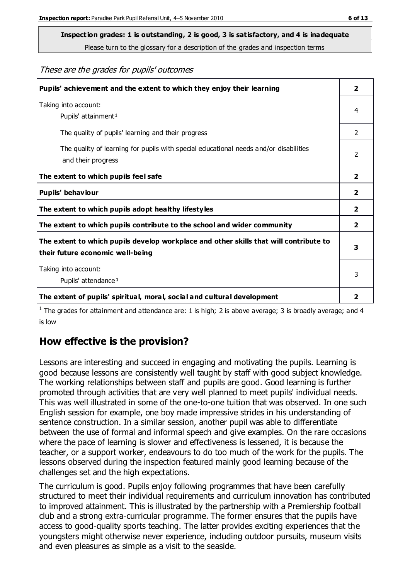**Inspection grades: 1 is outstanding, 2 is good, 3 is satisfactory, and 4 is inadequate**

Please turn to the glossary for a description of the grades and inspection terms

These are the grades for pupils' outcomes

| Pupils' achievement and the extent to which they enjoy their learning                                                     | $\overline{2}$ |
|---------------------------------------------------------------------------------------------------------------------------|----------------|
| Taking into account:<br>Pupils' attainment <sup>1</sup>                                                                   | 4              |
| The quality of pupils' learning and their progress                                                                        | $\overline{2}$ |
| The quality of learning for pupils with special educational needs and/or disabilities<br>and their progress               | $\overline{2}$ |
| The extent to which pupils feel safe                                                                                      | $\overline{2}$ |
| Pupils' behaviour                                                                                                         | $\overline{2}$ |
| The extent to which pupils adopt healthy lifestyles                                                                       | 2              |
| The extent to which pupils contribute to the school and wider community                                                   | $\mathbf{2}$   |
| The extent to which pupils develop workplace and other skills that will contribute to<br>their future economic well-being | 3              |
| Taking into account:<br>Pupils' attendance <sup>1</sup>                                                                   | 3              |
| The extent of pupils' spiritual, moral, social and cultural development                                                   | 2              |

<sup>1</sup> The grades for attainment and attendance are: 1 is high; 2 is above average; 3 is broadly average; and 4 is low

## **How effective is the provision?**

Lessons are interesting and succeed in engaging and motivating the pupils. Learning is good because lessons are consistently well taught by staff with good subject knowledge. The working relationships between staff and pupils are good. Good learning is further promoted through activities that are very well planned to meet pupils' individual needs. This was well illustrated in some of the one-to-one tuition that was observed. In one such English session for example, one boy made impressive strides in his understanding of sentence construction. In a similar session, another pupil was able to differentiate between the use of formal and informal speech and give examples. On the rare occasions where the pace of learning is slower and effectiveness is lessened, it is because the teacher, or a support worker, endeavours to do too much of the work for the pupils. The lessons observed during the inspection featured mainly good learning because of the challenges set and the high expectations.

The curriculum is good. Pupils enjoy following programmes that have been carefully structured to meet their individual requirements and curriculum innovation has contributed to improved attainment. This is illustrated by the partnership with a Premiership football club and a strong extra-curricular programme. The former ensures that the pupils have access to good-quality sports teaching. The latter provides exciting experiences that the youngsters might otherwise never experience, including outdoor pursuits, museum visits and even pleasures as simple as a visit to the seaside.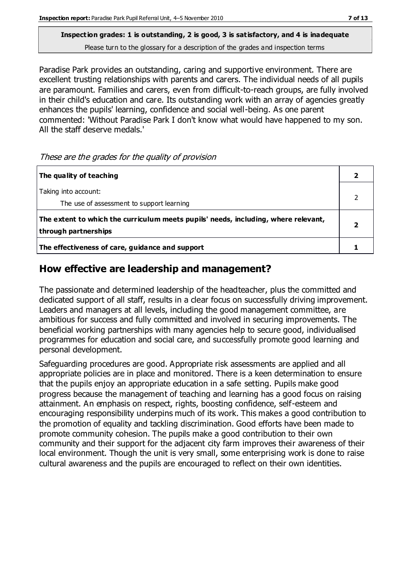#### **Inspection grades: 1 is outstanding, 2 is good, 3 is satisfactory, and 4 is inadequate** Please turn to the glossary for a description of the grades and inspection terms

Paradise Park provides an outstanding, caring and supportive environment. There are excellent trusting relationships with parents and carers. The individual needs of all pupils are paramount. Families and carers, even from difficult-to-reach groups, are fully involved in their child's education and care. Its outstanding work with an array of agencies greatly enhances the pupils' learning, confidence and social well-being. As one parent commented: 'Without Paradise Park I don't know what would have happened to my son. All the staff deserve medals.'

These are the grades for the quality of provision

| The quality of teaching                                                                                    |  |
|------------------------------------------------------------------------------------------------------------|--|
| Taking into account:<br>The use of assessment to support learning                                          |  |
| The extent to which the curriculum meets pupils' needs, including, where relevant,<br>through partnerships |  |
| The effectiveness of care, guidance and support                                                            |  |

## **How effective are leadership and management?**

The passionate and determined leadership of the headteacher, plus the committed and dedicated support of all staff, results in a clear focus on successfully driving improvement. Leaders and managers at all levels, including the good management committee, are ambitious for success and fully committed and involved in securing improvements. The beneficial working partnerships with many agencies help to secure good, individualised programmes for education and social care, and successfully promote good learning and personal development.

Safeguarding procedures are good. Appropriate risk assessments are applied and all appropriate policies are in place and monitored. There is a keen determination to ensure that the pupils enjoy an appropriate education in a safe setting. Pupils make good progress because the management of teaching and learning has a good focus on raising attainment. An emphasis on respect, rights, boosting confidence, self-esteem and encouraging responsibility underpins much of its work. This makes a good contribution to the promotion of equality and tackling discrimination. Good efforts have been made to promote community cohesion. The pupils make a good contribution to their own community and their support for the adjacent city farm improves their awareness of their local environment. Though the unit is very small, some enterprising work is done to raise cultural awareness and the pupils are encouraged to reflect on their own identities.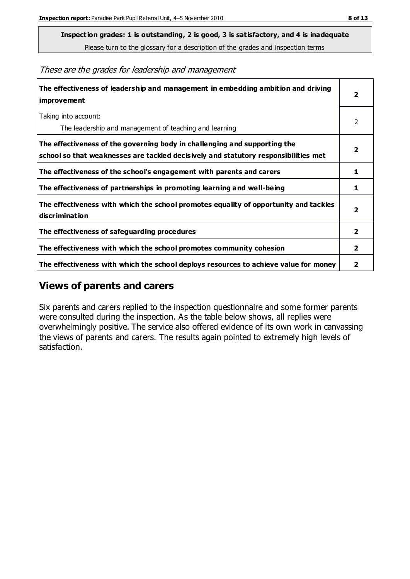**Inspection grades: 1 is outstanding, 2 is good, 3 is satisfactory, and 4 is inadequate**

Please turn to the glossary for a description of the grades and inspection terms

These are the grades for leadership and management

| The effectiveness of leadership and management in embedding ambition and driving<br><b>improvement</b>                                                           |                         |
|------------------------------------------------------------------------------------------------------------------------------------------------------------------|-------------------------|
| Taking into account:<br>The leadership and management of teaching and learning                                                                                   | 2                       |
| The effectiveness of the governing body in challenging and supporting the<br>school so that weaknesses are tackled decisively and statutory responsibilities met | 2                       |
| The effectiveness of the school's engagement with parents and carers                                                                                             | 1                       |
| The effectiveness of partnerships in promoting learning and well-being                                                                                           | 1                       |
| The effectiveness with which the school promotes equality of opportunity and tackles<br>discrimination                                                           | $\overline{\mathbf{2}}$ |
| The effectiveness of safeguarding procedures                                                                                                                     | $\mathbf{2}$            |
| The effectiveness with which the school promotes community cohesion                                                                                              | $\overline{2}$          |
| The effectiveness with which the school deploys resources to achieve value for money                                                                             | 2                       |

### **Views of parents and carers**

Six parents and carers replied to the inspection questionnaire and some former parents were consulted during the inspection. As the table below shows, all replies were overwhelmingly positive. The service also offered evidence of its own work in canvassing the views of parents and carers. The results again pointed to extremely high levels of satisfaction.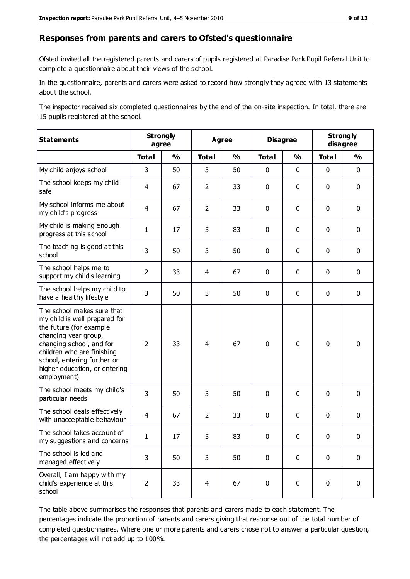#### **Responses from parents and carers to Ofsted's questionnaire**

Ofsted invited all the registered parents and carers of pupils registered at Paradise Park Pupil Referral Unit to complete a questionnaire about their views of the school.

In the questionnaire, parents and carers were asked to record how strongly they agreed with 13 statements about the school.

The inspector received six completed questionnaires by the end of the on-site inspection. In total, there are 15 pupils registered at the school.

| <b>Statements</b>                                                                                                                                                                                                                                       | <b>Strongly</b><br>agree |               | <b>Agree</b>   |               | <b>Disagree</b> |               | <b>Strongly</b><br>disagree |               |
|---------------------------------------------------------------------------------------------------------------------------------------------------------------------------------------------------------------------------------------------------------|--------------------------|---------------|----------------|---------------|-----------------|---------------|-----------------------------|---------------|
|                                                                                                                                                                                                                                                         | <b>Total</b>             | $\frac{1}{2}$ | <b>Total</b>   | $\frac{1}{2}$ | <b>Total</b>    | $\frac{1}{2}$ | <b>Total</b>                | $\frac{1}{2}$ |
| My child enjoys school                                                                                                                                                                                                                                  | 3                        | 50            | 3              | 50            | $\pmb{0}$       | $\mathbf 0$   | $\mathbf 0$                 | $\mathbf 0$   |
| The school keeps my child<br>safe                                                                                                                                                                                                                       | $\overline{4}$           | 67            | $\overline{2}$ | 33            | $\mathbf 0$     | $\mathbf 0$   | $\mathbf 0$                 | $\mathbf 0$   |
| My school informs me about<br>my child's progress                                                                                                                                                                                                       | $\overline{4}$           | 67            | $\overline{2}$ | 33            | 0               | $\mathbf 0$   | $\mathbf 0$                 | $\mathbf 0$   |
| My child is making enough<br>progress at this school                                                                                                                                                                                                    | $\mathbf 1$              | 17            | 5              | 83            | 0               | $\mathbf 0$   | $\mathbf 0$                 | $\mathbf 0$   |
| The teaching is good at this<br>school                                                                                                                                                                                                                  | 3                        | 50            | 3              | 50            | $\mathbf 0$     | $\mathbf 0$   | $\mathbf 0$                 | $\mathbf 0$   |
| The school helps me to<br>support my child's learning                                                                                                                                                                                                   | $\overline{2}$           | 33            | 4              | 67            | 0               | $\mathbf 0$   | $\mathbf 0$                 | $\mathbf 0$   |
| The school helps my child to<br>have a healthy lifestyle                                                                                                                                                                                                | 3                        | 50            | 3              | 50            | 0               | $\mathbf 0$   | $\mathbf 0$                 | $\mathbf 0$   |
| The school makes sure that<br>my child is well prepared for<br>the future (for example<br>changing year group,<br>changing school, and for<br>children who are finishing<br>school, entering further or<br>higher education, or entering<br>employment) | $\overline{2}$           | 33            | 4              | 67            | $\mathbf 0$     | $\mathbf 0$   | $\mathbf 0$                 | $\mathbf 0$   |
| The school meets my child's<br>particular needs                                                                                                                                                                                                         | 3                        | 50            | 3              | 50            | $\pmb{0}$       | $\mathbf 0$   | $\mathbf 0$                 | $\mathbf 0$   |
| The school deals effectively<br>with unacceptable behaviour                                                                                                                                                                                             | $\overline{4}$           | 67            | $\overline{2}$ | 33            | 0               | $\mathbf 0$   | $\mathbf 0$                 | $\pmb{0}$     |
| The school takes account of<br>my suggestions and concerns                                                                                                                                                                                              | 1                        | 17            | 5              | 83            | $\Omega$        | $\Omega$      | $\Omega$                    | 0             |
| The school is led and<br>managed effectively                                                                                                                                                                                                            | 3                        | 50            | 3              | 50            | $\mathbf 0$     | $\mathbf 0$   | $\mathbf 0$                 | $\mathbf 0$   |
| Overall, I am happy with my<br>child's experience at this<br>school                                                                                                                                                                                     | $\overline{2}$           | 33            | $\overline{4}$ | 67            | $\pmb{0}$       | $\mathbf 0$   | $\mathbf 0$                 | $\mathbf 0$   |

The table above summarises the responses that parents and carers made to each statement. The percentages indicate the proportion of parents and carers giving that response out of the total number of completed questionnaires. Where one or more parents and carers chose not to answer a particular question, the percentages will not add up to 100%.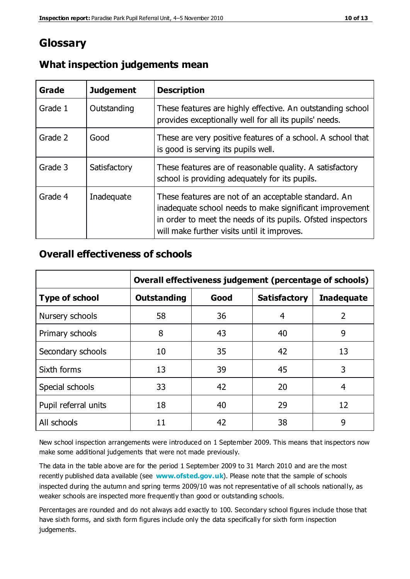# **Glossary**

| Grade   | <b>Judgement</b> | <b>Description</b>                                                                                                                                                                                                            |
|---------|------------------|-------------------------------------------------------------------------------------------------------------------------------------------------------------------------------------------------------------------------------|
| Grade 1 | Outstanding      | These features are highly effective. An outstanding school<br>provides exceptionally well for all its pupils' needs.                                                                                                          |
| Grade 2 | Good             | These are very positive features of a school. A school that<br>is good is serving its pupils well.                                                                                                                            |
| Grade 3 | Satisfactory     | These features are of reasonable quality. A satisfactory<br>school is providing adequately for its pupils.                                                                                                                    |
| Grade 4 | Inadequate       | These features are not of an acceptable standard. An<br>inadequate school needs to make significant improvement<br>in order to meet the needs of its pupils. Ofsted inspectors<br>will make further visits until it improves. |

### **What inspection judgements mean**

### **Overall effectiveness of schools**

|                       | Overall effectiveness judgement (percentage of schools) |      |                     |                   |
|-----------------------|---------------------------------------------------------|------|---------------------|-------------------|
| <b>Type of school</b> | <b>Outstanding</b>                                      | Good | <b>Satisfactory</b> | <b>Inadequate</b> |
| Nursery schools       | 58                                                      | 36   | 4                   | 2                 |
| Primary schools       | 8                                                       | 43   | 40                  | 9                 |
| Secondary schools     | 10                                                      | 35   | 42                  | 13                |
| Sixth forms           | 13                                                      | 39   | 45                  | 3                 |
| Special schools       | 33                                                      | 42   | 20                  | 4                 |
| Pupil referral units  | 18                                                      | 40   | 29                  | 12                |
| All schools           | 11                                                      | 42   | 38                  | 9                 |

New school inspection arrangements were introduced on 1 September 2009. This means that inspectors now make some additional judgements that were not made previously.

The data in the table above are for the period 1 September 2009 to 31 March 2010 and are the most recently published data available (see **[www.ofsted.gov.uk](http://www.ofsted.gov.uk/)**). Please note that the sample of schools inspected during the autumn and spring terms 2009/10 was not representative of all schools nationally, as weaker schools are inspected more frequently than good or outstanding schools.

Percentages are rounded and do not always add exactly to 100. Secondary school figures include those that have sixth forms, and sixth form figures include only the data specifically for sixth form inspection judgements.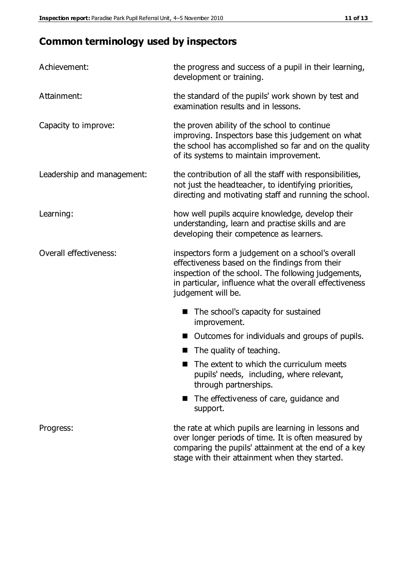# **Common terminology used by inspectors**

| Achievement:               | the progress and success of a pupil in their learning,<br>development or training.                                                                                                                                                          |
|----------------------------|---------------------------------------------------------------------------------------------------------------------------------------------------------------------------------------------------------------------------------------------|
| Attainment:                | the standard of the pupils' work shown by test and<br>examination results and in lessons.                                                                                                                                                   |
| Capacity to improve:       | the proven ability of the school to continue<br>improving. Inspectors base this judgement on what<br>the school has accomplished so far and on the quality<br>of its systems to maintain improvement.                                       |
| Leadership and management: | the contribution of all the staff with responsibilities,<br>not just the headteacher, to identifying priorities,<br>directing and motivating staff and running the school.                                                                  |
| Learning:                  | how well pupils acquire knowledge, develop their<br>understanding, learn and practise skills and are<br>developing their competence as learners.                                                                                            |
| Overall effectiveness:     | inspectors form a judgement on a school's overall<br>effectiveness based on the findings from their<br>inspection of the school. The following judgements,<br>in particular, influence what the overall effectiveness<br>judgement will be. |
|                            | The school's capacity for sustained<br>improvement.                                                                                                                                                                                         |
|                            | Outcomes for individuals and groups of pupils.                                                                                                                                                                                              |
|                            | The quality of teaching.                                                                                                                                                                                                                    |
|                            | The extent to which the curriculum meets<br>pupils' needs, including, where relevant,<br>through partnerships.                                                                                                                              |
|                            | The effectiveness of care, guidance and<br>support.                                                                                                                                                                                         |
| Progress:                  | the rate at which pupils are learning in lessons and<br>over longer periods of time. It is often measured by<br>comparing the pupils' attainment at the end of a key                                                                        |

stage with their attainment when they started.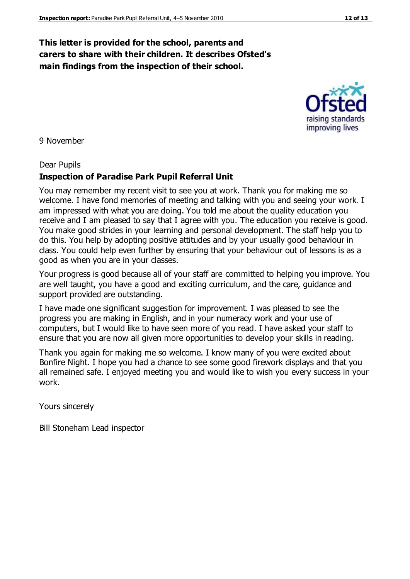#### **This letter is provided for the school, parents and carers to share with their children. It describes Ofsted's main findings from the inspection of their school.**

9 November

#### Dear Pupils

#### **Inspection of Paradise Park Pupil Referral Unit**

You may remember my recent visit to see you at work. Thank you for making me so welcome. I have fond memories of meeting and talking with you and seeing your work. I am impressed with what you are doing. You told me about the quality education you receive and I am pleased to say that I agree with you. The education you receive is good. You make good strides in your learning and personal development. The staff help you to do this. You help by adopting positive attitudes and by your usually good behaviour in class. You could help even further by ensuring that your behaviour out of lessons is as a good as when you are in your classes.

Your progress is good because all of your staff are committed to helping you improve. You are well taught, you have a good and exciting curriculum, and the care, guidance and support provided are outstanding.

I have made one significant suggestion for improvement. I was pleased to see the progress you are making in English, and in your numeracy work and your use of computers, but I would like to have seen more of you read. I have asked your staff to ensure that you are now all given more opportunities to develop your skills in reading.

Thank you again for making me so welcome. I know many of you were excited about Bonfire Night. I hope you had a chance to see some good firework displays and that you all remained safe. I enjoyed meeting you and would like to wish you every success in your work.

Yours sincerely

Bill Stoneham Lead inspector